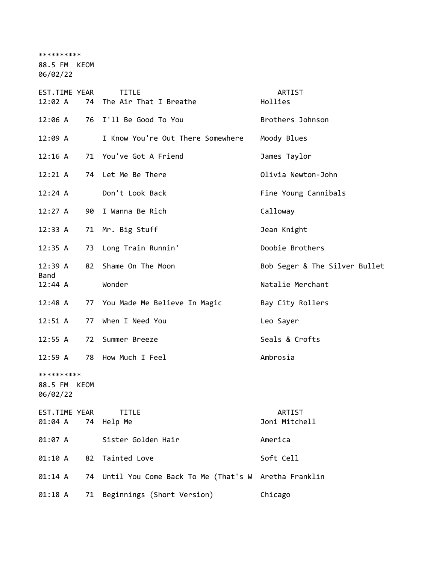\*\*\*\*\*\*\*\*\*\*

88.5 FM KEOM

06/02/22

| EST.TIME YEAR<br>12:02 A               | 74 | <b>TITLE</b><br>The Air That I Breathe                 | ARTIST<br>Hollies             |
|----------------------------------------|----|--------------------------------------------------------|-------------------------------|
| 12:06 A                                |    | 76 I'll Be Good To You                                 | Brothers Johnson              |
| 12:09 A                                |    | I Know You're Out There Somewhere                      | Moody Blues                   |
| 12:16 A                                |    | 71 You've Got A Friend                                 | James Taylor                  |
| 12:21 A                                |    | 74 Let Me Be There                                     | Olivia Newton-John            |
| 12:24 A                                |    | Don't Look Back                                        | Fine Young Cannibals          |
| 12:27 A                                |    | 90 I Wanna Be Rich                                     | Calloway                      |
| 12:33 A                                |    | 71 Mr. Big Stuff                                       | Jean Knight                   |
| 12:35 A                                |    | 73 Long Train Runnin'                                  | Doobie Brothers               |
| 12:39 A                                | 82 | Shame On The Moon                                      | Bob Seger & The Silver Bullet |
| Band<br>12:44 A                        |    | Wonder                                                 | Natalie Merchant              |
| $12:48$ A                              |    | 77 You Made Me Believe In Magic                        | Bay City Rollers              |
| 12:51 A                                | 77 | When I Need You                                        | Leo Sayer                     |
| 12:55 A                                | 72 | Summer Breeze                                          | Seals & Crofts                |
| $12:59$ A                              |    | 78 How Much I Feel                                     | Ambrosia                      |
| **********<br>88.5 FM KEOM<br>06/02/22 |    |                                                        |                               |
| EST.TIME YEAR<br>01:04 A               | 74 | <b>TITLE</b><br>Help Me                                | ARTIST<br>Joni Mitchell       |
| 01:07 A                                |    | Sister Golden Hair                                     | America                       |
| 01:10 A                                | 82 | Tainted Love                                           | Soft Cell                     |
| 01:14 A                                |    | 74 Until You Come Back To Me (That's W Aretha Franklin |                               |
| 01:18 A                                | 71 | Beginnings (Short Version)                             | Chicago                       |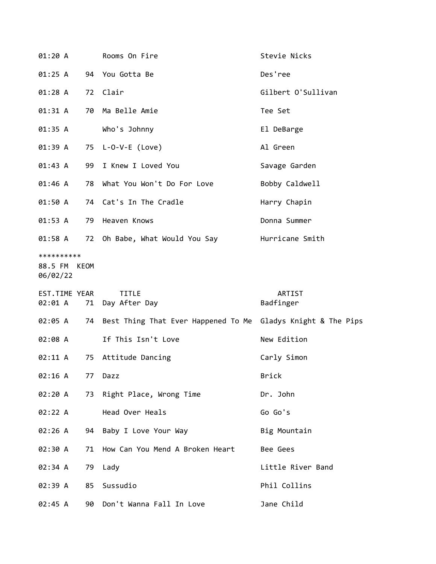| 01:20 A                                |    | Rooms On Fire                                                | Stevie Nicks        |
|----------------------------------------|----|--------------------------------------------------------------|---------------------|
| 01:25 A                                |    | 94 You Gotta Be                                              | Des'ree             |
| 01:28A                                 | 72 | Clair                                                        | Gilbert O'Sullivan  |
| 01:31 A                                | 70 | Ma Belle Amie                                                | Tee Set             |
| 01:35 A                                |    | Who's Johnny                                                 | El DeBarge          |
| 01:39 A                                | 75 | $L-O-V-E (Love)$                                             | Al Green            |
| 01:43 A                                | 99 | I Knew I Loved You                                           | Savage Garden       |
| 01:46 A                                | 78 | What You Won't Do For Love                                   | Bobby Caldwell      |
| 01:50 A                                |    | 74 Cat's In The Cradle                                       | Harry Chapin        |
| 01:53 A                                | 79 | Heaven Knows                                                 | Donna Summer        |
| 01:58 A                                |    | 72 Oh Babe, What Would You Say                               | Hurricane Smith     |
| **********<br>88.5 FM KEOM<br>06/02/22 |    |                                                              |                     |
|                                        |    |                                                              |                     |
| EST.TIME YEAR<br>02:01 A               |    | <b>TITLE</b><br>71 Day After Day                             | ARTIST<br>Badfinger |
| 02:05 A                                | 74 | Best Thing That Ever Happened To Me Gladys Knight & The Pips |                     |
| 02:08 A                                |    | If This Isn't Love                                           | New Edition         |
| 02:11 A                                | 75 | Attitude Dancing                                             | Carly Simon         |
| 02:16 A                                | 77 | Dazz                                                         | Brick               |
| 02:20 A                                | 73 | Right Place, Wrong Time                                      | Dr. John            |
| 02:22 A                                |    | Head Over Heals                                              | Go Go's             |
| 02:26 A                                | 94 | Baby I Love Your Way                                         | Big Mountain        |
| 02:30 A                                | 71 | How Can You Mend A Broken Heart                              | Bee Gees            |
| 02:34 A                                | 79 | Lady                                                         | Little River Band   |
| 02:39 A                                | 85 | Sussudio                                                     | Phil Collins        |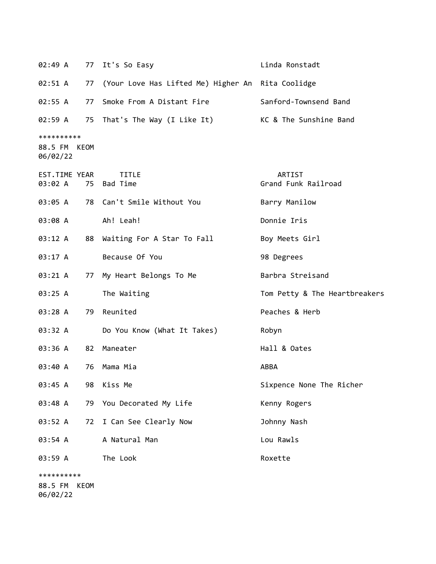| 02:49 A                                |      | 77 It's So Easy                                      | Linda Ronstadt                |
|----------------------------------------|------|------------------------------------------------------|-------------------------------|
| 02:51 A                                |      | 77 (Your Love Has Lifted Me) Higher An Rita Coolidge |                               |
| 02:55 A                                | 77   | Smoke From A Distant Fire                            | Sanford-Townsend Band         |
| 02:59 A                                |      | 75 That's The Way (I Like It)                        | KC & The Sunshine Band        |
| **********<br>88.5 FM KEOM<br>06/02/22 |      |                                                      |                               |
| EST.TIME YEAR<br>03:02 A               |      | <b>TITLE</b><br>75 Bad Time                          | ARTIST<br>Grand Funk Railroad |
| 03:05 A                                |      | 78 Can't Smile Without You                           | Barry Manilow                 |
| 03:08 A                                |      | Ah! Leah!                                            | Donnie Iris                   |
| 03:12 A                                |      | 88 Waiting For A Star To Fall                        | Boy Meets Girl                |
| 03:17 A                                |      | Because Of You                                       | 98 Degrees                    |
| 03:21 A                                | 77   | My Heart Belongs To Me                               | Barbra Streisand              |
| 03:25 A                                |      | The Waiting                                          | Tom Petty & The Heartbreakers |
| 03:28 A                                | 79   | Reunited                                             | Peaches & Herb                |
| 03:32 A                                |      | Do You Know (What It Takes)                          | Robyn                         |
| 03:36 A                                | 82   | Maneater                                             | Hall & Oates                  |
| 03:40 A                                | 76   | Mama Mia                                             | ABBA                          |
| 03:45 A                                | 98   | Kiss Me                                              | Sixpence None The Richer      |
| 03:48 A                                |      | 79 You Decorated My Life                             | Kenny Rogers                  |
| 03:52 A                                | 72   | I Can See Clearly Now                                | Johnny Nash                   |
| 03:54 A                                |      | A Natural Man                                        | Lou Rawls                     |
| 03:59 A                                |      | The Look                                             | Roxette                       |
| **********<br>88.5 FM                  | KEOM |                                                      |                               |

06/02/22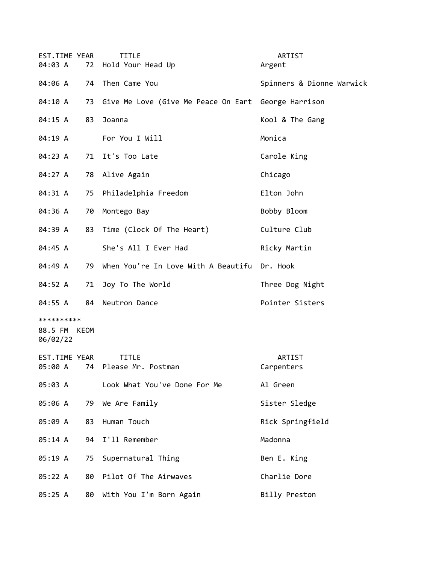| EST.TIME YEAR<br>04:03 A               |    | <b>TITLE</b><br>72 Hold Your Head Up                   | ARTIST<br>Argent          |
|----------------------------------------|----|--------------------------------------------------------|---------------------------|
| 04:06 A                                | 74 | Then Came You                                          | Spinners & Dionne Warwick |
| 04:10 A                                |    | 73 Give Me Love (Give Me Peace On Eart George Harrison |                           |
| 04:15 A                                | 83 | Joanna                                                 | Kool & The Gang           |
| 04:19 A                                |    | For You I Will                                         | Monica                    |
| 04:23 A                                |    | 71 It's Too Late                                       | Carole King               |
| 04:27 A                                |    | 78 Alive Again                                         | Chicago                   |
| 04:31 A                                | 75 | Philadelphia Freedom                                   | Elton John                |
| 04:36 A                                | 70 | Montego Bay                                            | Bobby Bloom               |
| 04:39 A                                | 83 | Time (Clock Of The Heart)                              | Culture Club              |
| 04:45 A                                |    | She's All I Ever Had                                   | Ricky Martin              |
| 04:49 A                                | 79 | When You're In Love With A Beautifu Dr. Hook           |                           |
| 04:52 A                                | 71 | Joy To The World                                       | Three Dog Night           |
| 04:55 A                                |    | 84 Neutron Dance                                       | Pointer Sisters           |
| **********<br>88.5 FM KEOM<br>06/02/22 |    |                                                        |                           |
| EST.TIME YEAR<br>05:00 A               | 74 | <b>TITLE</b><br>Please Mr. Postman                     | ARTIST<br>Carpenters      |
| 05:03 A                                |    | Look What You've Done For Me                           | Al Green                  |
| 05:06 A                                | 79 | We Are Family                                          | Sister Sledge             |
| 05:09 A                                | 83 | Human Touch                                            | Rick Springfield          |
| 05:14 A                                | 94 | I'll Remember                                          | Madonna                   |
| 05:19 A                                | 75 | Supernatural Thing                                     | Ben E. King               |
| 05:22 A                                | 80 | Pilot Of The Airwaves                                  | Charlie Dore              |
| 05:25 A                                | 80 | With You I'm Born Again                                | Billy Preston             |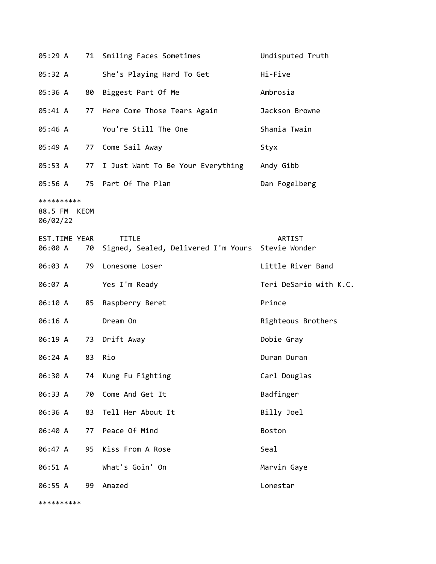| 05:29 A                                |    | 71 Smiling Faces Sometimes                                        | Undisputed Truth       |
|----------------------------------------|----|-------------------------------------------------------------------|------------------------|
| 05:32 A                                |    | She's Playing Hard To Get                                         | Hi-Five                |
| 05:36 A                                | 80 | Biggest Part Of Me                                                | Ambrosia               |
| 05:41 A                                |    | 77 Here Come Those Tears Again                                    | Jackson Browne         |
| 05:46 A                                |    | You're Still The One                                              | Shania Twain           |
| 05:49 A                                |    | 77 Come Sail Away                                                 | Styx                   |
| 05:53 A                                |    | 77 I Just Want To Be Your Everything                              | Andy Gibb              |
| 05:56 A                                |    | 75 Part Of The Plan                                               | Dan Fogelberg          |
| **********<br>88.5 FM KEOM<br>06/02/22 |    |                                                                   |                        |
| EST.TIME YEAR<br>06:00 A               | 70 | <b>TITLE</b><br>Signed, Sealed, Delivered I'm Yours Stevie Wonder | ARTIST                 |
| 06:03 A                                |    | 79 Lonesome Loser                                                 | Little River Band      |
|                                        |    |                                                                   |                        |
| 06:07 A                                |    | Yes I'm Ready                                                     | Teri DeSario with K.C. |
| 06:10 A                                | 85 | Raspberry Beret                                                   | Prince                 |
| 06:16 A                                |    | Dream On                                                          | Righteous Brothers     |
| 06:19 A                                |    | 73 Drift Away                                                     | Dobie Gray             |
| 06:24 A                                | 83 | Rio                                                               | Duran Duran            |
| 06:30 A                                | 74 | Kung Fu Fighting                                                  | Carl Douglas           |
| 06:33 A                                | 70 | Come And Get It                                                   | Badfinger              |
| 06:36 A                                | 83 | Tell Her About It                                                 | Billy Joel             |
| 06:40 A                                | 77 | Peace Of Mind                                                     | Boston                 |
| 06:47 A                                | 95 | Kiss From A Rose                                                  | Seal                   |
| 06:51 A                                |    | What's Goin' On                                                   | Marvin Gaye            |
| 06:55 A                                | 99 | Amazed                                                            | Lonestar               |

\*\*\*\*\*\*\*\*\*\*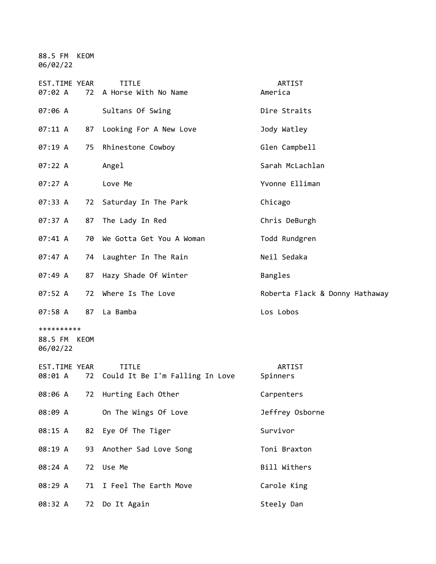88.5 FM KEOM 06/02/22

| EST.TIME YEAR<br>07:02 A               | 72 | <b>TITLE</b><br>A Horse With No Name            | ARTIST<br>America              |
|----------------------------------------|----|-------------------------------------------------|--------------------------------|
| 07:06 A                                |    | Sultans Of Swing                                | Dire Straits                   |
| 07:11 A                                | 87 | Looking For A New Love                          | Jody Watley                    |
| 07:19A                                 | 75 | Rhinestone Cowboy                               | Glen Campbell                  |
| 07:22 A                                |    | Angel                                           | Sarah McLachlan                |
| 07:27 A                                |    | Love Me                                         | Yvonne Elliman                 |
| 07:33 A                                |    | 72 Saturday In The Park                         | Chicago                        |
| 07:37A                                 | 87 | The Lady In Red                                 | Chris DeBurgh                  |
| $07:41 \; A$                           | 70 | We Gotta Get You A Woman                        | Todd Rundgren                  |
| 07:47 A                                | 74 | Laughter In The Rain                            | Neil Sedaka                    |
| 07:49 A                                | 87 | Hazy Shade Of Winter                            | Bangles                        |
| 07:52 A                                | 72 | Where Is The Love                               | Roberta Flack & Donny Hathaway |
| 07:58 A                                | 87 | La Bamba                                        | Los Lobos                      |
| **********<br>88.5 FM KEOM<br>06/02/22 |    |                                                 |                                |
| EST.TIME YEAR<br>08:01 A               | 72 | <b>TITLE</b><br>Could It Be I'm Falling In Love | ARTIST<br>Spinners             |
| 08:06 A                                | 72 | Hurting Each Other                              | Carpenters                     |
| 08:09 A                                |    | On The Wings Of Love                            | Jeffrey Osborne                |
| 08:15 A                                |    | 82 Eye Of The Tiger                             | Survivor                       |
| 08:19 A                                | 93 | Another Sad Love Song                           | Toni Braxton                   |
| 08:24 A                                | 72 | Use Me                                          | Bill Withers                   |
| 08:29 A                                | 71 | I Feel The Earth Move                           | Carole King                    |
| 08:32 A                                | 72 | Do It Again                                     | Steely Dan                     |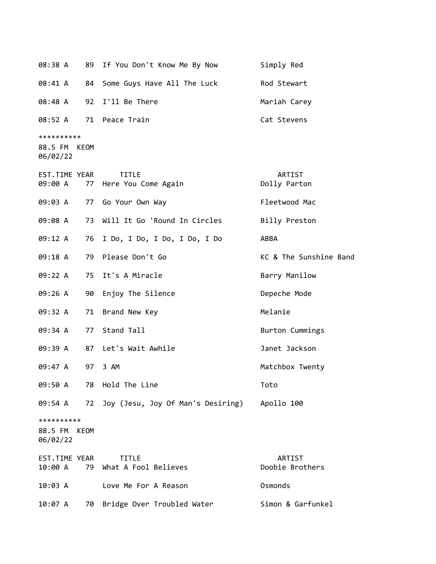| 08:38 A                           | 89   | If You Don't Know Me By Now            | Simply Red                |
|-----------------------------------|------|----------------------------------------|---------------------------|
| 08:41 A                           | 84   | Some Guys Have All The Luck            | Rod Stewart               |
| 08:48 A                           | 92   | I'll Be There                          | Mariah Carey              |
| 08:52 A                           |      | 71 Peace Train                         | Cat Stevens               |
| **********<br>88.5 FM<br>06/02/22 | KEOM |                                        |                           |
| EST.TIME YEAR<br>09:00 A          |      | <b>TITLE</b><br>77 Here You Come Again | ARTIST<br>Dolly Parton    |
| 09:03 A                           | 77   | Go Your Own Way                        | Fleetwood Mac             |
| 09:08 A                           |      | 73 Will It Go 'Round In Circles        | Billy Preston             |
| 09:12 A                           |      | 76 I Do, I Do, I Do, I Do, I Do        | ABBA                      |
| 09:18 A                           |      | 79 Please Don't Go                     | KC & The Sunshine Band    |
| 09:22 A                           |      | 75 It's A Miracle                      | Barry Manilow             |
| 09:26 A                           | 90   | Enjoy The Silence                      | Depeche Mode              |
| 09:32 A                           |      | 71 Brand New Key                       | Melanie                   |
| 09:34 A                           |      | 77 Stand Tall                          | Burton Cummings           |
| 09:39 A                           |      | 87 Let's Wait Awhile                   | Janet Jackson             |
| 09:47 A                           | 97   | 3 AM                                   | Matchbox Twenty           |
| 09:50 A                           | 78   | Hold The Line                          | Toto                      |
| 09:54 A                           | 72   | Joy (Jesu, Joy Of Man's Desiring)      | Apollo 100                |
| **********<br>88.5 FM<br>06/02/22 | KEOM |                                        |                           |
| EST.TIME YEAR<br>10:00 A          | 79   | <b>TITLE</b><br>What A Fool Believes   | ARTIST<br>Doobie Brothers |
| 10:03 A                           |      | Love Me For A Reason                   | Osmonds                   |
| 10:07 A                           | 70   | Bridge Over Troubled Water             | Simon & Garfunkel         |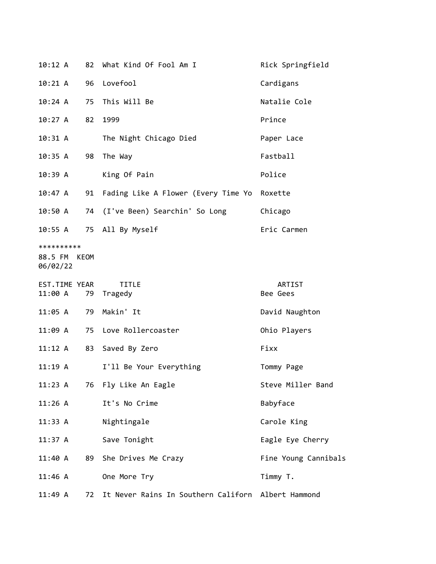| 10:12 A                                |    | 82 What Kind Of Fool Am I                          | Rick Springfield     |
|----------------------------------------|----|----------------------------------------------------|----------------------|
| $10:21 \; A$                           |    | 96 Lovefool                                        | Cardigans            |
| 10:24 A                                |    | 75 This Will Be                                    | Natalie Cole         |
| 10:27 A                                | 82 | 1999                                               | Prince               |
| 10:31 A                                |    | The Night Chicago Died                             | Paper Lace           |
| 10:35 A                                | 98 | The Way                                            | Fastball             |
| 10:39 A                                |    | King Of Pain                                       | Police               |
| 10:47 A                                |    | 91 Fading Like A Flower (Every Time Yo Roxette     |                      |
| 10:50 A                                |    | 74 (I've Been) Searchin' So Long                   | Chicago              |
| 10:55 A                                |    | 75 All By Myself                                   | Eric Carmen          |
| **********<br>88.5 FM KEOM<br>06/02/22 |    |                                                    |                      |
| EST.TIME YEAR<br>11:00 A               |    | <b>TITLE</b><br>79 Tragedy                         | ARTIST<br>Bee Gees   |
| 11:05 A                                |    | 79 Makin' It                                       | David Naughton       |
| 11:09 A                                |    | 75 Love Rollercoaster                              | Ohio Players         |
| 11:12 A                                |    | 83 Saved By Zero                                   | Fixx                 |
| $11:19$ A                              |    | I'll Be Your Everything                            | Tommy Page           |
| 11:23 A                                |    | 76 Fly Like An Eagle                               | Steve Miller Band    |
| 11:26 A                                |    | It's No Crime                                      | Babyface             |
| 11:33 A                                |    | Nightingale                                        | Carole King          |
| 11:37 A                                |    | Save Tonight                                       | Eagle Eye Cherry     |
| 11:40 A                                | 89 | She Drives Me Crazy                                | Fine Young Cannibals |
| $11:46$ A                              |    | One More Try                                       | Timmy T.             |
| 11:49A                                 | 72 | It Never Rains In Southern Californ Albert Hammond |                      |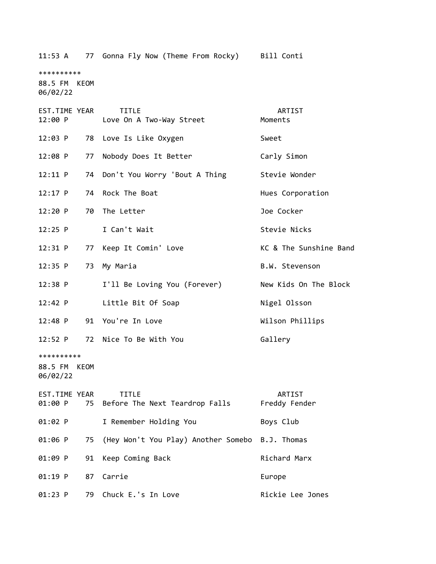11:53 A 77 Gonna Fly Now (Theme From Rocky) Bill Conti

\*\*\*\*\*\*\*\*\*\* 88.5 FM KEOM 06/02/22

| EST.TIME YEAR<br>12:00 P               | <b>TITLE</b><br>Love On A Two-Way Street          | ARTIST<br>Moments       |
|----------------------------------------|---------------------------------------------------|-------------------------|
| 12:03 P                                | 78 Love Is Like Oxygen                            | Sweet                   |
| $12:08$ P                              | Nobody Does It Better<br>77                       | Carly Simon             |
| 12:11 P                                | 74 Don't You Worry 'Bout A Thing                  | Stevie Wonder           |
| $12:17$ P                              | 74 Rock The Boat                                  | Hues Corporation        |
| 12:20 P                                | 70 The Letter                                     | Joe Cocker              |
| 12:25 P                                | I Can't Wait                                      | Stevie Nicks            |
| 12:31 P                                | 77 Keep It Comin' Love                            | KC & The Sunshine Band  |
| 12:35 P                                | 73 My Maria                                       | B.W. Stevenson          |
| 12:38 P                                | I'll Be Loving You (Forever)                      | New Kids On The Block   |
| 12:42 P                                | Little Bit Of Soap                                | Nigel Olsson            |
| 12:48 P                                | 91 You're In Love                                 | Wilson Phillips         |
| 12:52 P                                | 72 Nice To Be With You                            | Gallery                 |
| **********<br>88.5 FM KEOM<br>06/02/22 |                                                   |                         |
| EST.TIME YEAR<br>01:00 P               | <b>TITLE</b><br>75 Before The Next Teardrop Falls | ARTIST<br>Freddy Fender |
| 01:02 P                                | I Remember Holding You                            | Boys Club               |
| 01:06 P<br>75                          | (Hey Won't You Play) Another Somebo B.J. Thomas   |                         |
| 01:09 P<br>91                          | Keep Coming Back                                  | Richard Marx            |
| 01:19 P<br>87                          | Carrie                                            | Europe                  |
| 01:23 P                                | 79 Chuck E.'s In Love                             | Rickie Lee Jones        |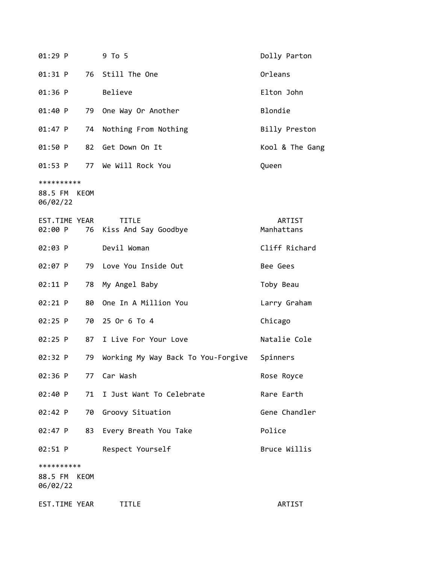| $01:29$ P                              | 9 To 5                                     | Dolly Parton         |
|----------------------------------------|--------------------------------------------|----------------------|
| 01:31 P                                | 76 Still The One                           | Orleans              |
| 01:36 P                                | Believe                                    | Elton John           |
| 01:40 P<br>79                          | One Way Or Another                         | Blondie              |
| 01:47 P<br>74                          | Nothing From Nothing                       | Billy Preston        |
| 01:50 P<br>82                          | Get Down On It                             | Kool & The Gang      |
|                                        | 01:53 P 77 We Will Rock You                | Queen                |
| **********<br>88.5 FM KEOM<br>06/02/22 |                                            |                      |
|                                        |                                            |                      |
| EST.TIME YEAR<br>02:00 P               | <b>TITLE</b><br>Kiss And Say Goodbye<br>76 | ARTIST<br>Manhattans |
| 02:03 P                                | Devil Woman                                | Cliff Richard        |
| 02:07 P                                | 79 Love You Inside Out                     | Bee Gees             |
| 02:11 P<br>78                          | My Angel Baby                              | Toby Beau            |
| 02:21 P<br>80                          | One In A Million You                       | Larry Graham         |
| 70<br>02:25 P                          | 25 Or 6 To 4                               | Chicago              |
| 02:25 P                                | 87 I Live For Your Love                    | Natalie Cole         |
| 02:32 P<br>79                          | Working My Way Back To You-Forgive         | Spinners             |
| 02:36 P                                | 77 Car Wash                                | Rose Royce           |
| 02:40 P<br>71                          | I Just Want To Celebrate                   | Rare Earth           |
| 02:42 P<br>70                          | Groovy Situation                           | Gene Chandler        |
| $02:47$ P<br>83                        | Every Breath You Take                      | Police               |
| 02:51 P                                | Respect Yourself                           | Bruce Willis         |
| **********<br>88.5 FM KEOM<br>06/02/22 |                                            |                      |
| EST.TIME YEAR                          | TITLE                                      | ARTIST               |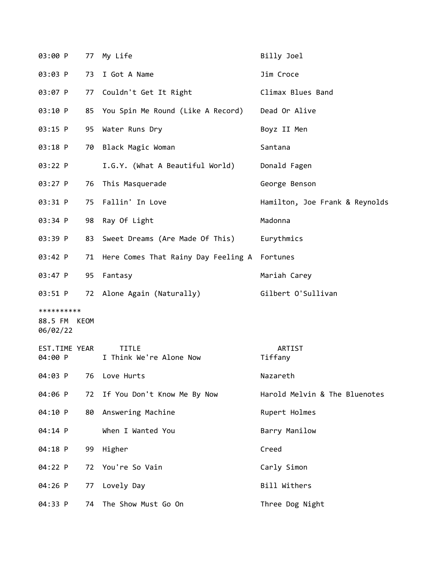| 03:00 P                                | 77 | My Life                                            | Billy Joel                     |
|----------------------------------------|----|----------------------------------------------------|--------------------------------|
| 03:03 P                                | 73 | I Got A Name                                       | Jim Croce                      |
| 03:07 P                                |    | 77 Couldn't Get It Right                           | Climax Blues Band              |
| 03:10 P                                |    | 85 You Spin Me Round (Like A Record) Dead Or Alive |                                |
| 03:15 P                                | 95 | Water Runs Dry                                     | Boyz II Men                    |
| 03:18 P                                | 70 | Black Magic Woman                                  | Santana                        |
| 03:22 P                                |    | I.G.Y. (What A Beautiful World)                    | Donald Fagen                   |
| 03:27 P                                | 76 | This Masquerade                                    | George Benson                  |
| 03:31 P                                | 75 | Fallin' In Love                                    | Hamilton, Joe Frank & Reynolds |
| 03:34 P                                | 98 | Ray Of Light                                       | Madonna                        |
| 03:39 P                                |    | 83 Sweet Dreams (Are Made Of This)                 | Eurythmics                     |
| 03:42 P                                | 71 | Here Comes That Rainy Day Feeling A Fortunes       |                                |
| 03:47 P                                | 95 | Fantasy                                            | Mariah Carey                   |
| 03:51 P                                |    | 72 Alone Again (Naturally)                         | Gilbert O'Sullivan             |
| **********<br>88.5 FM KEOM<br>06/02/22 |    |                                                    |                                |
| EST.TIME YEAR<br>04:00 P               |    | <b>TITLE</b><br>I Think We're Alone Now            | ARTIST<br>Tiffany              |
| 04:03 P                                | 76 | Love Hurts                                         | Nazareth                       |
| 04:06 P                                | 72 | If You Don't Know Me By Now                        | Harold Melvin & The Bluenotes  |
| 04:10 P                                | 80 | Answering Machine                                  | Rupert Holmes                  |
| 04:14 P                                |    | When I Wanted You                                  | Barry Manilow                  |
| 04:18 P                                | 99 | Higher                                             | Creed                          |
| 04:22 P                                | 72 | You're So Vain                                     | Carly Simon                    |
| 04:26 P                                | 77 | Lovely Day                                         | Bill Withers                   |
| 04:33 P                                | 74 | The Show Must Go On                                | Three Dog Night                |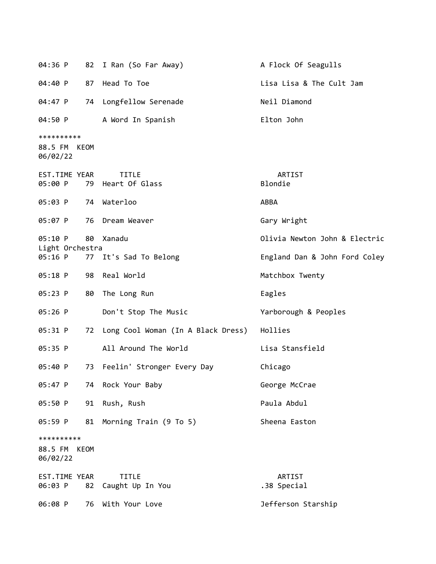|                                        |      | 04:36 P 82 I Ran (So Far Away)        | A Flock Of Seagulls           |
|----------------------------------------|------|---------------------------------------|-------------------------------|
| 04:40 P                                |      | 87 Head To Toe                        | Lisa Lisa & The Cult Jam      |
| 04:47 P                                |      | 74 Longfellow Serenade                | Neil Diamond                  |
| 04:50 P                                |      | A Word In Spanish                     | Elton John                    |
| **********<br>88.5 FM KEOM<br>06/02/22 |      |                                       |                               |
| EST.TIME YEAR<br>05:00 P               |      | TITLE<br>79 Heart Of Glass            | ARTIST<br>Blondie             |
| 05:03 P                                |      | 74 Waterloo                           | ABBA                          |
| 05:07 P                                |      | 76 Dream Weaver                       | Gary Wright                   |
| 05:10 P<br>Light Orchestra             |      | 80 Xanadu                             | Olivia Newton John & Electric |
|                                        |      | 05:16 P 77 It's Sad To Belong         | England Dan & John Ford Coley |
| 05:18 P                                |      | 98 Real World                         | Matchbox Twenty               |
| 05:23 P                                |      | 80 The Long Run                       | Eagles                        |
| $05:26$ P                              |      | Don't Stop The Music                  | Yarborough & Peoples          |
| 05:31 P                                |      | 72 Long Cool Woman (In A Black Dress) | Hollies                       |
| 05:35 P                                |      | All Around The World                  | Lisa Stansfield               |
| 05:40 P                                |      | 73 Feelin' Stronger Every Day         | Chicago                       |
| 05:47 P                                |      | 74 Rock Your Baby                     | George McCrae                 |
| 05:50 P                                |      | 91 Rush, Rush                         | Paula Abdul                   |
| 05:59 P                                | 81   | Morning Train (9 To 5)                | Sheena Easton                 |
| **********<br>88.5 FM<br>06/02/22      | KEOM |                                       |                               |
| EST.TIME YEAR<br>06:03 P               | 82   | <b>TITLE</b><br>Caught Up In You      | ARTIST<br>.38 Special         |
| 06:08 P                                | 76   | With Your Love                        | Jefferson Starship            |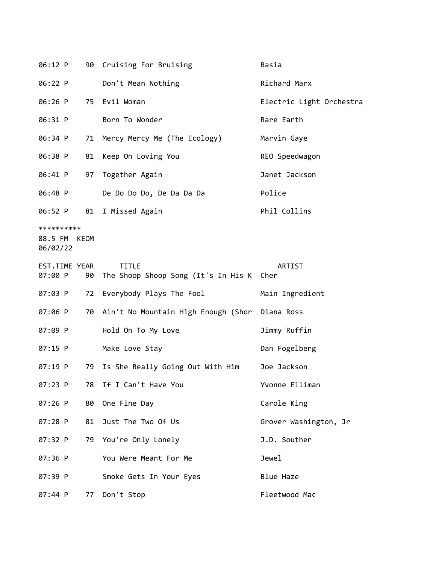| 06:12 P                           |      | 90 Cruising For Bruising                            | Basia                    |
|-----------------------------------|------|-----------------------------------------------------|--------------------------|
| 06:22 P                           |      | Don't Mean Nothing                                  | Richard Marx             |
| 06:26 P                           | 75   | Evil Woman                                          | Electric Light Orchestra |
| 06:31 P                           |      | Born To Wonder                                      | Rare Earth               |
| 06:34 P                           | 71   | Mercy Mercy Me (The Ecology)                        | Marvin Gaye              |
| 06:38 P                           | 81   | Keep On Loving You                                  | REO Speedwagon           |
| 06:41 P                           | 97   | Together Again                                      | Janet Jackson            |
| 06:48 P                           |      | De Do Do Do, De Da Da Da                            | Police                   |
| 06:52 P                           | 81   | I Missed Again                                      | Phil Collins             |
| **********<br>88.5 FM<br>06/02/22 | KEOM |                                                     |                          |
| EST.TIME YEAR<br>07:00 P          | 90   | <b>TITLE</b><br>The Shoop Shoop Song (It's In His K | ARTIST<br>Cher           |
| 07:03 P                           | 72   | Everybody Plays The Fool                            | Main Ingredient          |
| 07:06 P                           | 70   | Ain't No Mountain High Enough (Shor Diana Ross      |                          |
| 07:09 P                           |      | Hold On To My Love                                  | Jimmy Ruffin             |
| $07:15$ P                         |      | Make Love Stay                                      | Dan Fogelberg            |
| 07:19 P                           | 79   | Is She Really Going Out With Him                    | Joe Jackson              |
| 07:23 P                           | 78   | If I Can't Have You                                 | Yvonne Elliman           |
| $07:26$ P                         | 80   | One Fine Day                                        | Carole King              |
| 07:28 P                           | 81   | Just The Two Of Us                                  | Grover Washington, Jr    |
| 07:32 P                           | 79   | You're Only Lonely                                  | J.D. Souther             |
| 07:36 P                           |      | You Were Meant For Me                               | Jewel                    |
| 07:39 P                           |      | Smoke Gets In Your Eyes                             | Blue Haze                |
| 07:44 P                           | 77   | Don't Stop                                          | Fleetwood Mac            |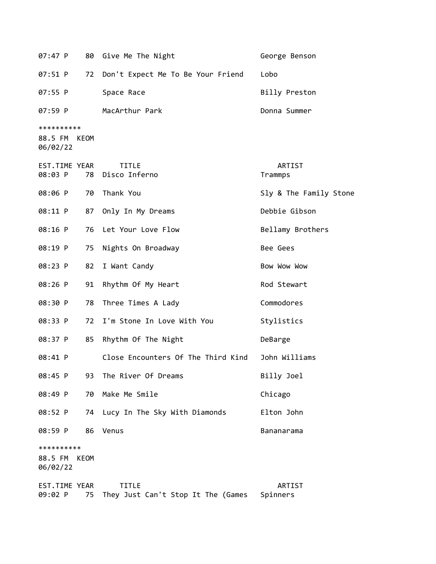| 07:47 P                                | 80   | Give Me The Night                                  | George Benson          |
|----------------------------------------|------|----------------------------------------------------|------------------------|
| 07:51 P                                | 72   | Don't Expect Me To Be Your Friend                  | Lobo                   |
| 07:55 P                                |      | Space Race                                         | Billy Preston          |
| 07:59 P                                |      | MacArthur Park                                     | Donna Summer           |
| **********<br>88.5 FM KEOM<br>06/02/22 |      |                                                    |                        |
| EST.TIME YEAR<br>08:03 P               | 78   | <b>TITLE</b><br>Disco Inferno                      | ARTIST<br>Trammps      |
| 08:06 P                                |      | 70 Thank You                                       | Sly & The Family Stone |
| 08:11 P                                | 87   | Only In My Dreams                                  | Debbie Gibson          |
| 08:16 P                                | 76   | Let Your Love Flow                                 | Bellamy Brothers       |
| 08:19 P                                | 75   | Nights On Broadway                                 | Bee Gees               |
| 08:23 P                                | 82   | I Want Candy                                       | Bow Wow Wow            |
| 08:26 P                                | 91   | Rhythm Of My Heart                                 | Rod Stewart            |
| 08:30 P                                | 78   | Three Times A Lady                                 | Commodores             |
| 08:33 P                                | 72   | I'm Stone In Love With You                         | Stylistics             |
| 08:37 P                                | 85   | Rhythm Of The Night                                | DeBarge                |
| 08:41 P                                |      | Close Encounters Of The Third Kind                 | John Williams          |
| 08:45 P                                | 93   | The River Of Dreams                                | Billy Joel             |
| 08:49 P                                | 70   | Make Me Smile                                      | Chicago                |
| 08:52 P                                | 74   | Lucy In The Sky With Diamonds                      | Elton John             |
| 08:59 P                                | 86   | Venus                                              | Bananarama             |
| **********<br>88.5 FM<br>06/02/22      | KEOM |                                                    |                        |
| EST.TIME YEAR<br>09:02 P               | 75   | <b>TITLE</b><br>They Just Can't Stop It The (Games | ARTIST<br>Spinners     |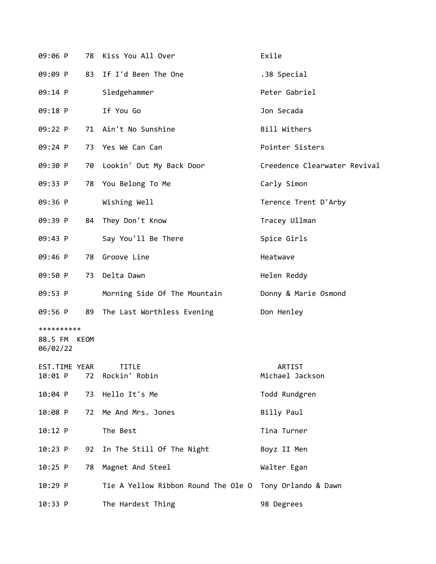| 09:06 P                           |      | 78 Kiss You All Over                | Exile                        |
|-----------------------------------|------|-------------------------------------|------------------------------|
| 09:09 P                           |      | 83 If I'd Been The One              | .38 Special                  |
| 09:14 P                           |      | Sledgehammer                        | Peter Gabriel                |
| 09:18 P                           |      | If You Go                           | Jon Secada                   |
| 09:22 P                           |      | 71 Ain't No Sunshine                | Bill Withers                 |
| 09:24 P                           |      | 73 Yes We Can Can                   | Pointer Sisters              |
| 09:30 P                           |      | 70 Lookin' Out My Back Door         | Creedence Clearwater Revival |
| 09:33 P                           |      | 78 You Belong To Me                 | Carly Simon                  |
| 09:36 P                           |      | Wishing Well                        | Terence Trent D'Arby         |
| 09:39 P                           | 84   | They Don't Know                     | Tracey Ullman                |
| 09:43 P                           |      | Say You'll Be There                 | Spice Girls                  |
| 09:46 P                           | 78   | Groove Line                         | Heatwave                     |
| 09:50 P                           | 73   | Delta Dawn                          | Helen Reddy                  |
| 09:53 P                           |      | Morning Side Of The Mountain        | Donny & Marie Osmond         |
| 09:56 P                           |      | 89 The Last Worthless Evening       | Don Henley                   |
| **********<br>88.5 FM<br>06/02/22 | KEOM |                                     |                              |
| EST.TIME YEAR<br>10:01 P          |      | <b>TITLE</b><br>72 Rockin' Robin    | ARTIST<br>Michael Jackson    |
| 10:04 P                           | 73   | Hello It's Me                       | Todd Rundgren                |
| 10:08 P                           | 72   | Me And Mrs. Jones                   | Billy Paul                   |
| 10:12 P                           |      | The Best                            | Tina Turner                  |
| 10:23 P                           | 92   | In The Still Of The Night           | Boyz II Men                  |
| 10:25 P                           | 78   | Magnet And Steel                    | Walter Egan                  |
| 10:29 P                           |      | Tie A Yellow Ribbon Round The Ole O | Tony Orlando & Dawn          |
| 10:33 P                           |      | The Hardest Thing                   | 98 Degrees                   |